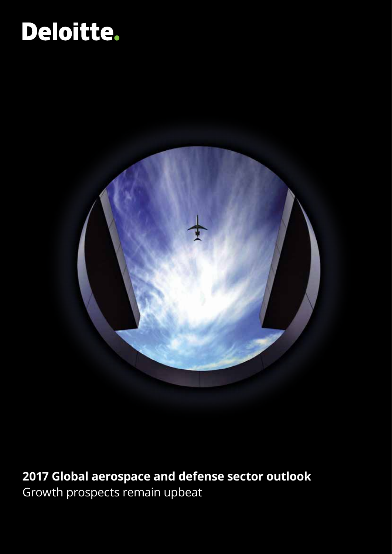# Deloitte.



**2017 Global aerospace and defense sector outlook**  Growth prospects remain upbeat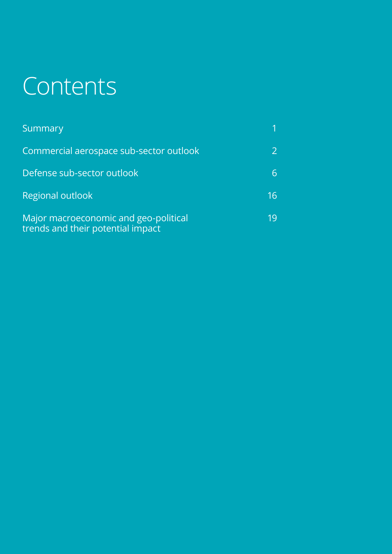# Contents

| Summary                                                                    |    |
|----------------------------------------------------------------------------|----|
| Commercial aerospace sub-sector outlook                                    |    |
| Defense sub-sector outlook                                                 |    |
| Regional outlook                                                           | 16 |
| Major macroeconomic and geo-political<br>trends and their potential impact | 19 |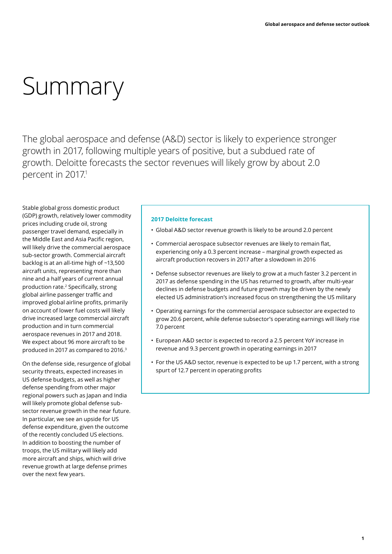# Summary

The global aerospace and defense (A&D) sector is likely to experience stronger growth in 2017, following multiple years of positive, but a subdued rate of growth. Deloitte forecasts the sector revenues will likely grow by about 2.0 percent in 2017.1

Stable global gross domestic product (GDP) growth, relatively lower commodity prices including crude oil, strong passenger travel demand, especially in the Middle East and Asia Pacific region, will likely drive the commercial aerospace sub-sector growth. Commercial aircraft backlog is at an all-time high of ~13,500 aircraft units, representing more than nine and a half years of current annual production rate.2 Specifically, strong global airline passenger traffic and improved global airline profits, primarily on account of lower fuel costs will likely drive increased large commercial aircraft production and in turn commercial aerospace revenues in 2017 and 2018. We expect about 96 more aircraft to be produced in 2017 as compared to 2016.3

On the defense side, resurgence of global security threats, expected increases in US defense budgets, as well as higher defense spending from other major regional powers such as Japan and India will likely promote global defense subsector revenue growth in the near future. In particular, we see an upside for US defense expenditure, given the outcome of the recently concluded US elections. In addition to boosting the number of troops, the US military will likely add more aircraft and ships, which will drive revenue growth at large defense primes over the next few years.

### **2017 Deloitte forecast**

- Global A&D sector revenue growth is likely to be around 2.0 percent
- Commercial aerospace subsector revenues are likely to remain flat, experiencing only a 0.3 percent increase – marginal growth expected as aircraft production recovers in 2017 after a slowdown in 2016
- Defense subsector revenues are likely to grow at a much faster 3.2 percent in 2017 as defense spending in the US has returned to growth, after multi-year declines in defense budgets and future growth may be driven by the newly elected US administration's increased focus on strengthening the US military
- Operating earnings for the commercial aerospace subsector are expected to grow 20.6 percent, while defense subsector's operating earnings will likely rise 7.0 percent
- European A&D sector is expected to record a 2.5 percent YoY increase in revenue and 9.3 percent growth in operating earnings in 2017
- For the US A&D sector, revenue is expected to be up 1.7 percent, with a strong spurt of 12.7 percent in operating profits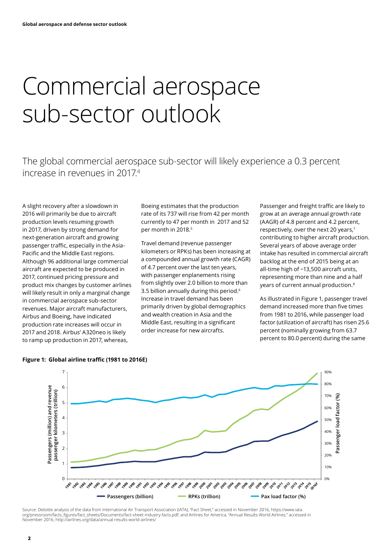# Commercial aerospace sub-sector outlook

The global commercial aerospace sub-sector will likely experience a 0.3 percent increase in revenues in 2017.4

A slight recovery after a slowdown in 2016 will primarily be due to aircraft production levels resuming growth in 2017, driven by strong demand for next-generation aircraft and growing passenger traffic, especially in the Asia-Pacific and the Middle East regions. Although 96 additional large commercial aircraft are expected to be produced in 2017, continued pricing pressure and product mix changes by customer airlines will likely result in only a marginal change in commercial aerospace sub-sector revenues. Major aircraft manufacturers, Airbus and Boeing, have indicated production rate increases will occur in 2017 and 2018. Airbus' A320neo is likely to ramp up production in 2017, whereas,

Boeing estimates that the production rate of its 737 will rise from 42 per month currently to 47 per month in 2017 and 52 per month in 2018.<sup>5</sup>

Travel demand (revenue passenger kilometers or RPKs) has been increasing at a compounded annual growth rate (CAGR) of 4.7 percent over the last ten years, with passenger enplanements rising from slightly over 2.0 billion to more than 3.5 billion annually during this period.<sup>6</sup> Increase in travel demand has been primarily driven by global demographics and wealth creation in Asia and the Middle East, resulting in a significant order increase for new aircrafts.

Passenger and freight traffic are likely to grow at an average annual growth rate (AAGR) of 4.8 percent and 4.2 percent, respectively, over the next 20 years,<sup>7</sup> contributing to higher aircraft production. Several years of above average order intake has resulted in commercial aircraft backlog at the end of 2015 being at an all-time high of ~13,500 aircraft units, representing more than nine and a half years of current annual production.<sup>8</sup>

As illustrated in Figure 1, passenger travel demand increased more than five times from 1981 to 2016, while passenger load factor (utilization of aircraft) has risen 25.6 percent (nominally growing from 63.7 percent to 80.0 percent) during the same



#### **Figure 1: Global airline traffic (1981 to 2016E)**

Source: Deloitte analysis of the data from International Air Transport Association (IATA), "Fact Sheet," accessed in November 2016, https://www.iata. org/pressroom/facts\_figures/fact\_sheets/Documents/fact-sheet-industry-facts.pdf; and Airlines for America, "Annual Results World Airlines," accessed in November 2016, http://airlines.org/data/annual-results-world-airlines/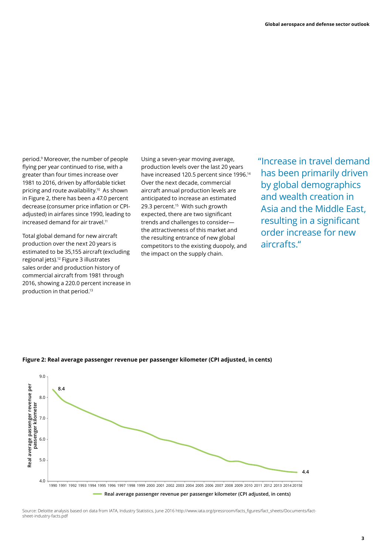period.9 Moreover, the number of people flying per year continued to rise, with a greater than four times increase over 1981 to 2016, driven by affordable ticket pricing and route availability.10 As shown in Figure 2, there has been a 47.0 percent decrease (consumer price inflation or CPIadjusted) in airfares since 1990, leading to increased demand for air travel.<sup>11</sup>

Total global demand for new aircraft production over the next 20 years is estimated to be 35,155 aircraft (excluding regional jets).12 Figure 3 illustrates sales order and production history of commercial aircraft from 1981 through 2016, showing a 220.0 percent increase in production in that period.13

Using a seven-year moving average, production levels over the last 20 years have increased 120.5 percent since 1996.<sup>14</sup> Over the next decade, commercial aircraft annual production levels are anticipated to increase an estimated 29.3 percent.<sup>15</sup> With such growth expected, there are two significant trends and challenges to consider the attractiveness of this market and the resulting entrance of new global competitors to the existing duopoly, and the impact on the supply chain.

 "Increase in travel demand has been primarily driven by global demographics and wealth creation in Asia and the Middle East, resulting in a significant order increase for new aircrafts."



#### **Figure 2: Real average passenger revenue per passenger kilometer (CPI adjusted, in cents)**

Source: Deloitte analysis based on data from IATA, Industry Statistics, June 2016 http://www.iata.org/pressroom/facts\_figures/fact\_sheets/Documents/factsheet-industry-facts.pdf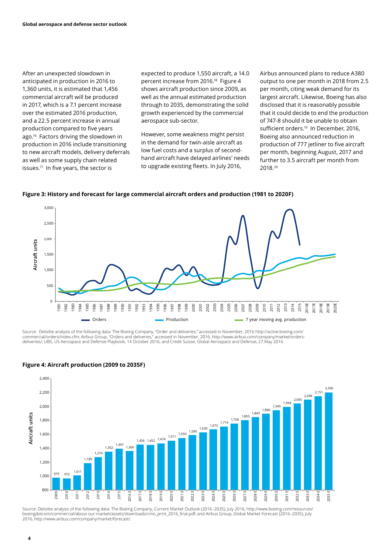After an unexpected slowdown in anticipated in production in 2016 to 1,360 units, it is estimated that 1,456 commercial aircraft will be produced in 2017, which is a 7.1 percent increase over the estimated 2016 production, and a 22.5 percent increase in annual production compared to five years ago.16 Factors driving the slowdown in production in 2016 include transitioning to new aircraft models, delivery deferrals as well as some supply chain related issues.<sup>17</sup> In five years, the sector is

expected to produce 1,550 aircraft, a 14.0 percent increase from 2016.18 Figure 4 shows aircraft production since 2009, as well as the annual estimated production through to 2035, demonstrating the solid growth experienced by the commercial aerospace sub-sector.

However, some weakness might persist in the demand for twin-aisle aircraft as low fuel costs and a surplus of secondhand aircraft have delayed airlines' needs to upgrade existing fleets. In July 2016,

Airbus announced plans to reduce A380 output to one per month in 2018 from 2.5 per month, citing weak demand for its largest aircraft. Likewise, Boeing has also disclosed that it is reasonably possible that it could decide to end the production of 747-8 should it be unable to obtain sufficient orders.<sup>19</sup> In December, 2016, Boeing also announced reduction in production of 777 jetliner to five aircraft per month, beginning August, 2017 and further to 3.5 aircraft per month from 2018.20

**Figure 3: History and forecast for large commercial aircraft orders and production (1981 to 2020F)**



Source: Deloitte analysis of the following data: The Boeing Company, "Order and deliveries," accessed in November, 2016 http://active.boeing.com/<br>commercial/orders/index.cfm; Airbus Group, "Orders and deliveries," accessed



#### **Figure 4: Aircraft production (2009 to 2035F)**

Source: Deloitte analysis of the following data: The Boeing Company, Current Market Outlook (2016–2035), July 2016, http://www.boeing.com/resources/ boeingdotcom/commercial/about-our-market/assets/downloads/cmo\_print\_2016\_final.pdf; and Airbus Group, Global Market Forecast (2016–2035), July 2016, http://www.airbus.com/company/market/forecast/.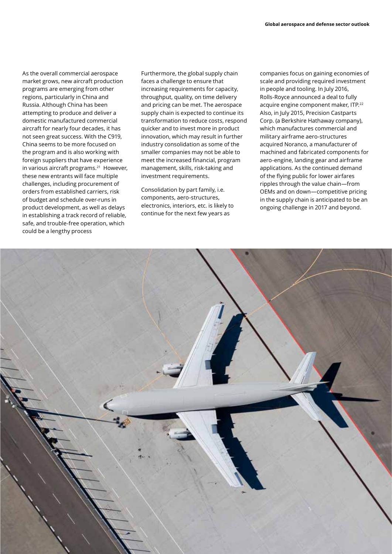As the overall commercial aerospace market grows, new aircraft production programs are emerging from other regions, particularly in China and Russia. Although China has been attempting to produce and deliver a domestic manufactured commercial aircraft for nearly four decades, it has not seen great success. With the C919, China seems to be more focused on the program and is also working with foreign suppliers that have experience in various aircraft programs.<sup>21</sup> However, these new entrants will face multiple challenges, including procurement of orders from established carriers, risk of budget and schedule over-runs in product development, as well as delays in establishing a track record of reliable, safe, and trouble-free operation, which could be a lengthy process

Furthermore, the global supply chain faces a challenge to ensure that increasing requirements for capacity, throughput, quality, on time delivery and pricing can be met. The aerospace supply chain is expected to continue its transformation to reduce costs, respond quicker and to invest more in product innovation, which may result in further industry consolidation as some of the smaller companies may not be able to meet the increased financial, program management, skills, risk-taking and investment requirements.

Consolidation by part family, i.e. components, aero-structures, electronics, interiors, etc. is likely to continue for the next few years as

companies focus on gaining economies of scale and providing required investment in people and tooling. In July 2016, Rolls-Royce announced a deal to fully acquire engine component maker, ITP.22 Also, in July 2015, Precision Castparts Corp. (a Berkshire Hathaway company), which manufactures commercial and military airframe aero-structures acquired Noranco, a manufacturer of machined and fabricated components for aero-engine, landing gear and airframe applications. As the continued demand of the flying public for lower airfares ripples through the value chain—from OEMs and on down—competitive pricing in the supply chain is anticipated to be an ongoing challenge in 2017 and beyond.

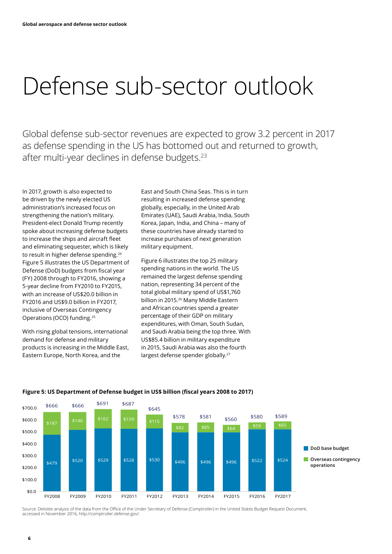# Defense sub-sector outlook

Global defense sub-sector revenues are expected to grow 3.2 percent in 2017 as defense spending in the US has bottomed out and returned to growth, after multi-year declines in defense budgets.<sup>23</sup>

In 2017, growth is also expected to be driven by the newly elected US administration's increased focus on strengthening the nation's military. President-elect Donald Trump recently spoke about increasing defense budgets to increase the ships and aircraft fleet and eliminating sequester, which is likely to result in higher defense spending.<sup>24</sup> Figure 5 illustrates the US Department of Defense (DoD) budgets from fiscal year (FY) 2008 through to FY2016, showing a 5-year decline from FY2010 to FY2015, with an increase of US\$20.0 billion in FY2016 and US\$9.0 billion in FY2017, inclusive of Overseas Contingency Operations (OCO) funding.25

With rising global tensions, international demand for defense and military products is increasing in the Middle East, Eastern Europe, North Korea, and the

East and South China Seas. This is in turn resulting in increased defense spending globally, especially, in the United Arab Emirates (UAE), Saudi Arabia, India, South Korea, Japan, India, and China – many of these countries have already started to increase purchases of next generation military equipment.

Figure 6 illustrates the top 25 military spending nations in the world. The US remained the largest defense spending nation, representing 34 percent of the total global military spend of US\$1,760 billion in 2015.26 Many Middle Eastern and African countries spend a greater percentage of their GDP on military expenditures, with Oman, South Sudan, and Saudi Arabia being the top three. With US\$85.4 billion in military expenditure in 2015, Saudi Arabia was also the fourth largest defense spender globally.<sup>27</sup>



### **Figure 5: US Department of Defense budget in US\$ billion (fiscal years 2008 to 2017)**

Source: Deloitte analysis of the data from the Office of the Under Secretary of Defense (Comptroller) in the United States Budget Request Document, accessed in November 2016, http://comptroller.defense.gov/.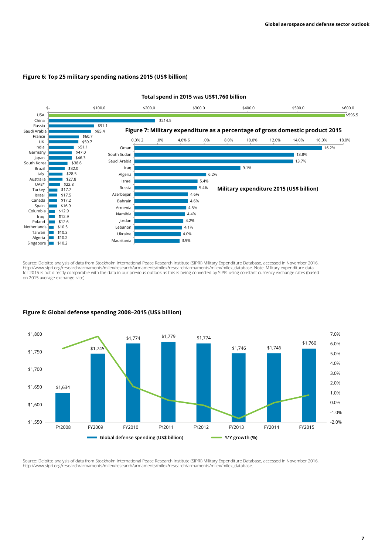### **Figure 6: Top 25 military spending nations 2015 (US\$ billion)**



### Source: Deloitte analysis of data from Stockholm International Peace Research Institute (SIPRI) Military Expenditure Database, accessed in November 2016, http://www.sipri.org/research/armaments/milex/research/armaments/milex/research/armaments/milex/milex\_database. Note: Military expenditure data for 2015 is not directly comparable with the data in our previous outlook as this is being converted by SIPRI using constant currency exchange rates (based



### **Figure 8: Global defense spending 2008–2015 (US\$ billion)**

on 2015 average exchange rate)

Source: Deloitte analysis of data from Stockholm International Peace Research Institute (SIPRI) Military Expenditure Database, accessed in November 2016, http://www.sipri.org/research/armaments/milex/research/armaments/milex/research/armaments/milex/milex\_database.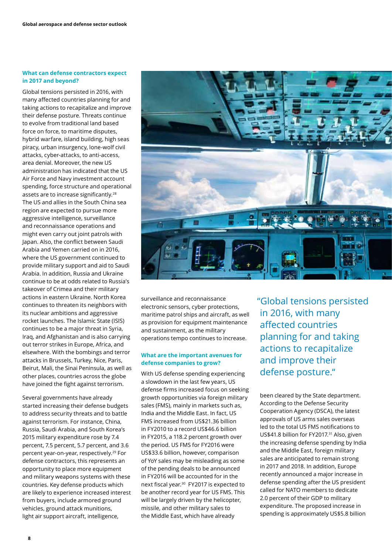### **What can defense contractors expect in 2017 and beyond?**

Global tensions persisted in 2016, with many affected countries planning for and taking actions to recapitalize and improve their defense posture. Threats continue to evolve from traditional land based force on force, to maritime disputes, hybrid warfare, island building, high seas piracy, urban insurgency, lone-wolf civil attacks, cyber-attacks, to anti-access, area denial. Moreover, the new US administration has indicated that the US Air Force and Navy investment account spending, force structure and operational assets are to increase significantly.28 The US and allies in the South China sea region are expected to pursue more aggressive intelligence, surveillance and reconnaissance operations and might even carry out joint patrols with Japan. Also, the conflict between Saudi Arabia and Yemen carried on in 2016, where the US government continued to provide military support and aid to Saudi Arabia. In addition, Russia and Ukraine continue to be at odds related to Russia's takeover of Crimea and their military actions in eastern Ukraine. North Korea continues to threaten its neighbors with its nuclear ambitions and aggressive rocket launches. The Islamic State (ISIS) continues to be a major threat in Syria, Iraq, and Afghanistan and is also carrying out terror strikes in Europe, Africa, and elsewhere. With the bombings and terror attacks in Brussels, Turkey, Nice, Paris, Beirut, Mali, the Sinai Peninsula, as well as other places, countries across the globe have joined the fight against terrorism.

Several governments have already started increasing their defense budgets to address security threats and to battle against terrorism. For instance, China, Russia, Saudi Arabia, and South Korea's 2015 military expenditure rose by 7.4 percent, 7.5 percent, 5.7 percent, and 3.6 percent year-on-year, respectively.29 For defense contractors, this represents an opportunity to place more equipment and military weapons systems with these countries. Key defense products which are likely to experience increased interest from buyers, include armored ground vehicles, ground attack munitions, light air support aircraft, intelligence,



surveillance and reconnaissance electronic sensors, cyber protections, maritime patrol ships and aircraft, as well as provision for equipment maintenance and sustainment, as the military operations tempo continues to increase.

### **What are the important avenues for defense companies to grow?**

With US defense spending experiencing a slowdown in the last few years, US defense firms increased focus on seeking growth opportunities via foreign military sales (FMS), mainly in markets such as, India and the Middle East. In fact, US FMS increased from US\$21.36 billion in FY2010 to a record US\$46.6 billion in FY2015, a 118.2 percent growth over the period. US FMS for FY2016 were US\$33.6 billion, however, comparison of YoY sales may be misleading as some of the pending deals to be announced in FY2016 will be accounted for in the next fiscal year.30 FY2017 is expected to be another record year for US FMS. This will be largely driven by the helicopter, missile, and other military sales to the Middle East, which have already

 "Global tensions persisted in 2016, with many affected countries planning for and taking actions to recapitalize and improve their defense posture."

been cleared by the State department. According to the Defense Security Cooperation Agency (DSCA), the latest approvals of US arms sales overseas led to the total US FMS notifications to US\$41.8 billion for FY2017.<sup>31</sup> Also, given the increasing defense spending by India and the Middle East, foreign military sales are anticipated to remain strong in 2017 and 2018. In addition, Europe recently announced a major increase in defense spending after the US president called for NATO members to dedicate 2.0 percent of their GDP to military expenditure. The proposed increase in spending is approximately US\$5.8 billion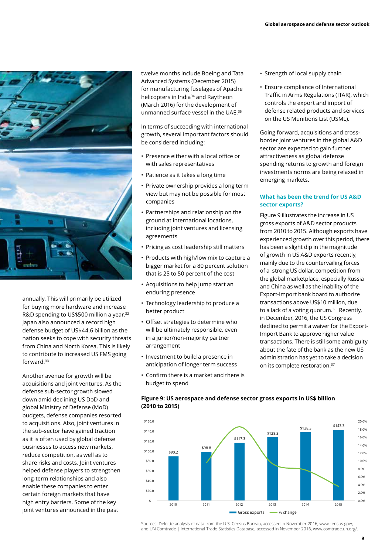

annually. This will primarily be utilized for buying more hardware and increase R&D spending to US\$500 million a year.32 Japan also announced a record high defense budget of US\$44.6 billion as the nation seeks to cope with security threats from China and North Korea. This is likely to contribute to increased US FMS going forward.33

Another avenue for growth will be acquisitions and joint ventures. As the defense sub-sector growth slowed down amid declining US DoD and global Ministry of Defense (MoD) budgets, defense companies resorted to acquisitions. Also, joint ventures in the sub-sector have gained traction as it is often used by global defense businesses to access new markets, reduce competition, as well as to share risks and costs. Joint ventures helped defense players to strengthen long-term relationships and also enable these companies to enter certain foreign markets that have high entry barriers. Some of the key joint ventures announced in the past

twelve months include Boeing and Tata Advanced Systems (December 2015) for manufacturing fuselages of Apache helicopters in India<sup>34</sup> and Raytheon (March 2016) for the development of unmanned surface vessel in the UAE.35

In terms of succeeding with international growth, several important factors should be considered including:

- Presence either with a local office or with sales representatives
- Patience as it takes a long time
- Private ownership provides a long term view but may not be possible for most companies
- Partnerships and relationship on the ground at international locations, including joint ventures and licensing agreements
- Pricing as cost leadership still matters
- Products with high/low mix to capture a bigger market for a 80 percent solution that is 25 to 50 percent of the cost
- Acquisitions to help jump start an enduring presence
- Technology leadership to produce a better product
- Offset strategies to determine who will be ultimately responsible, even in a junior/non-majority partner arrangement
- Investment to build a presence in anticipation of longer term success
- Confirm there is a market and there is budget to spend
- Strength of local supply chain
- Ensure compliance of International Traffic in Arms Regulations (ITAR), which controls the export and import of defense related products and services on the US Munitions List (USML).

Going forward, acquisitions and crossborder joint ventures in the global A&D sector are expected to gain further attractiveness as global defense spending returns to growth and foreign investments norms are being relaxed in emerging markets.

### **What has been the trend for US A&D sector exports?**

Figure 9 illustrates the increase in US gross exports of A&D sector products from 2010 to 2015. Although exports have experienced growth over this period, there has been a slight dip in the magnitude of growth in US A&D exports recently, mainly due to the countervailing forces of a strong US dollar, competition from the global marketplace, especially Russia and China as well as the inability of the Export-Import bank board to authorize transactions above US\$10 million, due to a lack of a voting quorum.<sup>36</sup> Recently, in December, 2016, the US Congress declined to permit a waiver for the Export-Import Bank to approve higher value transactions. There is still some ambiguity about the fate of the bank as the new US administration has yet to take a decision on its complete restoration.37



### **Figure 9: US aerospace and defense sector gross exports in US\$ billion (2010 to 2015)**

Sources: Deloitte analysis of data from the U.S. Census Bureau, accessed in November 2016, www.census.gov/; and UN Comtrade | International Trade Statistics Database, accessed in November 2016, www.comtrade.un.org/.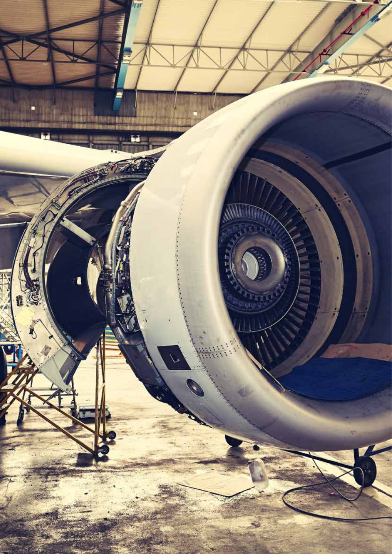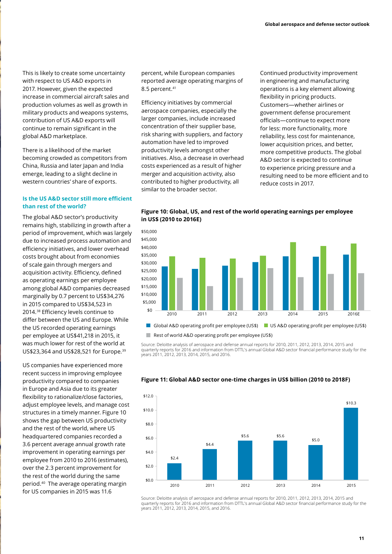This is likely to create some uncertainty with respect to US A&D exports in 2017. However, given the expected increase in commercial aircraft sales and production volumes as well as growth in military products and weapons systems, contribution of US A&D exports will continue to remain significant in the global A&D marketplace.

There is a likelihood of the market becoming crowded as competitors from China, Russia and later Japan and India emerge, leading to a slight decline in western countries' share of exports.

### **Is the US A&D sector still more efficient than rest of the world?**

The global A&D sector's productivity remains high, stabilizing in growth after a period of improvement, which was largely due to increased process automation and efficiency initiatives, and lower overhead costs brought about from economies of scale gain through mergers and acquisition activity. Efficiency, defined as operating earnings per employee among global A&D companies decreased marginally by 0.7 percent to US\$34,276 in 2015 compared to US\$34,523 in 2014.38 Efficiency levels continue to differ between the US and Europe. While the US recorded operating earnings per employee at US\$41,218 in 2015, it was much lower for rest of the world at US\$23,364 and US\$28,521 for Europe.39

US companies have experienced more recent success in improving employee productivity compared to companies in Europe and Asia due to its greater flexibility to rationalize/close factories, adjust employee levels, and manage cost structures in a timely manner. Figure 10 shows the gap between US productivity and the rest of the world, where US headquartered companies recorded a 3.6 percent average annual growth rate improvement in operating earnings per employee from 2010 to 2016 (estimates), over the 2.3 percent improvement for the rest of the world during the same period.40 The average operating margin for US companies in 2015 was 11.6

percent, while European companies reported average operating margins of 8.5 percent.<sup>41</sup>

Efficiency initiatives by commercial aerospace companies, especially the larger companies, include increased concentration of their supplier base, risk sharing with suppliers, and factory automation have led to improved productivity levels amongst other initiatives. Also, a decrease in overhead costs experienced as a result of higher merger and acquisition activity, also contributed to higher productivity, all similar to the broader sector.

Continued productivity improvement in engineering and manufacturing operations is a key element allowing flexibility in pricing products. Customers—whether airlines or government defense procurement officials—continue to expect more for less: more functionality, more reliability, less cost for maintenance, lower acquisition prices, and better, more competitive products. The global A&D sector is expected to continue to experience pricing pressure and a resulting need to be more efficient and to reduce costs in 2017.





Rest of world A&D operating profit per employee (US\$)

Source: Deloitte analysis of aerospace and defense annual reports for 2010, 2011, 2012, 2013, 2014, 2015 and quarterly reports for 2016 and information from DTTL's annual Global A&D sector financial performance study for the years 2011, 2012, 2013, 2014, 2015, and 2016.



### **Figure 11: Global A&D sector one-time charges in US\$ billion (2010 to 2018F)**

Source: Deloitte analysis of aerospace and defense annual reports for 2010, 2011, 2012, 2013, 2014, 2015 and quarterly reports for 2016 and information from DTTL's annual Global A&D sector financial performance study for the years 2011, 2012, 2013, 2014, 2015, and 2016.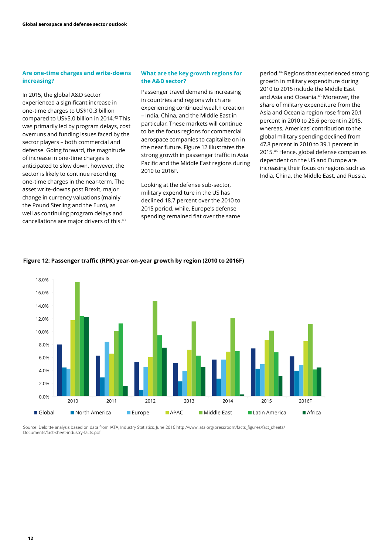### **Are one-time charges and write-downs increasing?**

In 2015, the global A&D sector experienced a significant increase in one-time charges to US\$10.3 billion compared to US\$5.0 billion in 2014.42 This was primarily led by program delays, cost overruns and funding issues faced by the sector players – both commercial and defense. Going forward, the magnitude of increase in one-time charges is anticipated to slow down, however, the sector is likely to continue recording one-time charges in the near-term. The asset write-downs post Brexit, major change in currency valuations (mainly the Pound Sterling and the Euro), as well as continuing program delays and cancellations are major drivers of this.43

### **What are the key growth regions for the A&D sector?**

Passenger travel demand is increasing in countries and regions which are experiencing continued wealth creation – India, China, and the Middle East in particular. These markets will continue to be the focus regions for commercial aerospace companies to capitalize on in the near future. Figure 12 illustrates the strong growth in passenger traffic in Asia Pacific and the Middle East regions during 2010 to 2016F.

Looking at the defense sub-sector, military expenditure in the US has declined 18.7 percent over the 2010 to 2015 period, while, Europe's defense spending remained flat over the same

period.44 Regions that experienced strong growth in military expenditure during 2010 to 2015 include the Middle East and Asia and Oceania.45 Moreover, the share of military expenditure from the Asia and Oceania region rose from 20.1 percent in 2010 to 25.6 percent in 2015, whereas, Americas' contribution to the global military spending declined from 47.8 percent in 2010 to 39.1 percent in 2015.46 Hence, global defense companies dependent on the US and Europe are increasing their focus on regions such as India, China, the Middle East, and Russia.



### **Figure 12: Passenger traffic (RPK) year-on-year growth by region (2010 to 2016F)**

Source: Deloitte analysis based on data from IATA, Industry Statistics, June 2016 http://www.iata.org/pressroom/facts\_figures/fact\_sheets/ Documents/fact-sheet-industry-facts.pdf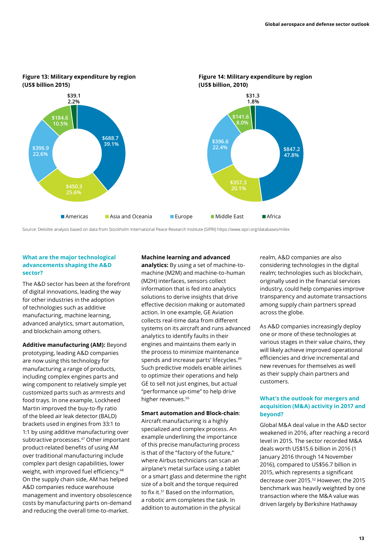

**Figure 13: Military expenditure by region** 

Source: Deloitte analysis based on data from Stockholm International Peace Research Institute (SIPRI) https://www.sipri.org/databases/milex

### **What are the major technological advancements shaping the A&D sector?**

The A&D sector has been at the forefront of digital innovations, leading the way for other industries in the adoption of technologies such as additive manufacturing, machine learning, advanced analytics, smart automation, and blockchain among others.

**Additive manufacturing (AM):** Beyond prototyping, leading A&D companies are now using this technology for manufacturing a range of products, including complex engines parts and wing component to relatively simple yet customized parts such as armrests and food trays. In one example, Lockheed Martin improved the buy-to-fly ratio of the bleed air leak detector (BALD) brackets used in engines from 33:1 to 1:1 by using additive manufacturing over subtractive processes.<sup>47</sup> Other important product-related benefits of using AM over traditional manufacturing include complex part design capabilities, lower weight, with improved fuel efficiency.<sup>48</sup> On the supply chain side, AM has helped A&D companies reduce warehouse management and inventory obsolescence costs by manufacturing parts on-demand and reducing the overall time-to-market.

### **Machine learning and advanced**

**analytics:** By using a set of machine-tomachine (M2M) and machine-to-human (M2H) interfaces, sensors collect information that is fed into analytics solutions to derive insights that drive effective decision making or automated action. In one example, GE Aviation collects real-time data from different systems on its aircraft and runs advanced analytics to identify faults in their engines and maintains them early in the process to minimize maintenance spends and increase parts' lifecycles.<sup>49</sup> Such predictive models enable airlines to optimize their operations and help GE to sell not just engines, but actual "performance up-time" to help drive higher revenues.<sup>50</sup>

### **Smart automation and Block-chain**:

Aircraft manufacturing is a highly specialized and complex process. An example underlining the importance of this precise manufacturing process is that of the "factory of the future," where Airbus technicians can scan an airplane's metal surface using a tablet or a smart glass and determine the right size of a bolt and the torque required to fix it.<sup>51</sup> Based on the information, a robotic arm completes the task. In addition to automation in the physical

realm, A&D companies are also considering technologies in the digital realm; technologies such as blockchain, originally used in the financial services industry, could help companies improve transparency and automate transactions among supply chain partners spread across the globe.

As A&D companies increasingly deploy one or more of these technologies at various stages in their value chains, they will likely achieve improved operational efficiencies and drive incremental and new revenues for themselves as well as their supply chain partners and customers.

### **What's the outlook for mergers and acquisition (M&A) activity in 2017 and beyond?**

Global M&A deal value in the A&D sector weakened in 2016, after reaching a record level in 2015. The sector recorded M&A deals worth US\$15.6 billion in 2016 (1 January 2016 through 14 November 2016), compared to US\$56.7 billion in 2015, which represents a significant decrease over 2015.52 However, the 2015 benchmark was heavily weighted by one transaction where the M&A value was driven largely by Berkshire Hathaway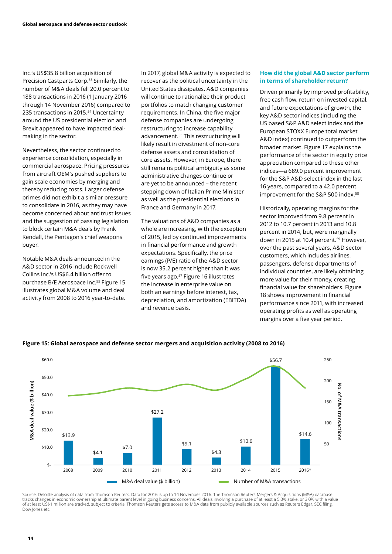Inc.'s US\$35.8 billion acquisition of Precision Castparts Corp.<sup>53</sup> Similarly, the number of M&A deals fell 20.0 percent to 188 transactions in 2016 (1 January 2016 through 14 November 2016) compared to 235 transactions in 2015.54 Uncertainty around the US presidential election and Brexit appeared to have impacted dealmaking in the sector.

Nevertheless, the sector continued to experience consolidation, especially in commercial aerospace. Pricing pressures from aircraft OEM's pushed suppliers to gain scale economies by merging and thereby reducing costs. Larger defense primes did not exhibit a similar pressure to consolidate in 2016, as they may have become concerned about antitrust issues and the suggestion of passing legislation to block certain M&A deals by Frank Kendall, the Pentagon's chief weapons buyer.

Notable M&A deals announced in the A&D sector in 2016 include Rockwell Collins Inc.'s US\$6.4 billion offer to purchase B/E Aerospace Inc.<sup>55</sup> Figure 15 illustrates global M&A volume and deal activity from 2008 to 2016 year-to-date.

In 2017, global M&A activity is expected to recover as the political uncertainty in the United States dissipates. A&D companies will continue to rationalize their product portfolios to match changing customer requirements. In China, the five major defense companies are undergoing restructuring to increase capability advancement.56 This restructuring will likely result in divestment of non-core defense assets and consolidation of core assets. However, in Europe, there still remains political ambiguity as some administrative changes continue or are yet to be announced – the recent stepping down of Italian Prime Minister as well as the presidential elections in France and Germany in 2017.

The valuations of A&D companies as a whole are increasing, with the exception of 2015, led by continued improvements in financial performance and growth expectations. Specifically, the price earnings (P/E) ratio of the A&D sector is now 35.2 percent higher than it was five years ago.<sup>57</sup> Figure 16 illustrates the increase in enterprise value on both an earnings before interest, tax, depreciation, and amortization (EBITDA) and revenue basis.

### **How did the global A&D sector perform in terms of shareholder return?**

Driven primarily by improved profitability, free cash flow, return on invested capital, and future expectations of growth, the key A&D sector indices (including the US based S&P A&D select index and the European STOXX Europe total market A&D index) continued to outperform the broader market. Figure 17 explains the performance of the sector in equity price appreciation compared to these other indices—a 689.0 percent improvement for the S&P A&D select index in the last 16 years, compared to a 42.0 percent improvement for the S&P 500 index.<sup>58</sup>

Historically, operating margins for the sector improved from 9.8 percent in 2012 to 10.7 percent in 2013 and 10.8 percent in 2014, but, were marginally down in 2015 at 10.4 percent.<sup>59</sup> However, over the past several years, A&D sector customers, which includes airlines, passengers, defense departments of individual countries, are likely obtaining more value for their money, creating financial value for shareholders. Figure 18 shows improvement in financial performance since 2011, with increased operating profits as well as operating margins over a five year period.



### **Figure 15: Global aerospace and defense sector mergers and acquisition activity (2008 to 2016)**

Source: Deloitte analysis of data from Thomson Reuters. Data for 2016 is up to 14 November 2016. The Thomson Reuters Mergers & Acquisitions (M&A) database tracks changes in economic ownership at ultimate parent level in going business concerns. All deals involving a purchase of at least a 5.0% stake, or 3.0% with a value<br>of at least US\$1 million are tracked, subject to crite Dow Jones etc.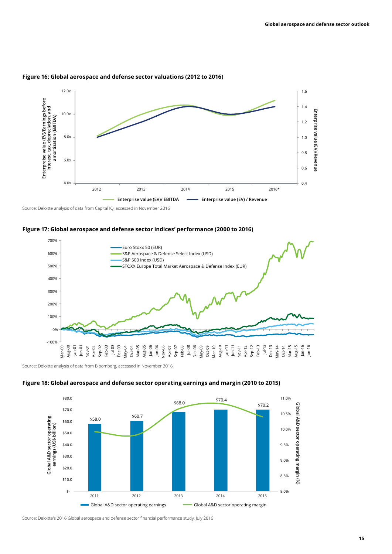

### **Figure 16: Global aerospace and defense sector valuations (2012 to 2016)**

Source: Deloitte analysis of data from Capital IQ, accessed in November 2016





Source: Deloitte analysis of data from Bloomberg, accessed in November 2016



### **Figure 18: Global aerospace and defense sector operating earnings and margin (2010 to 2015)**

Source: Deloitte's 2016 Global aerospace and defense sector financial performance study, July 2016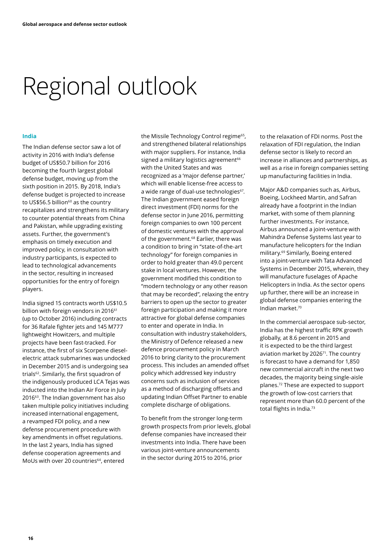# Regional outlook

### **India**

The Indian defense sector saw a lot of activity in 2016 with India's defense budget of US\$50.7 billion for 2016 becoming the fourth largest global defense budget, moving up from the sixth position in 2015. By 2018, India's defense budget is projected to increase to US\$56.5 billion<sup>60</sup> as the country recapitalizes and strengthens its military to counter potential threats from China and Pakistan, while upgrading existing assets. Further, the government's emphasis on timely execution and improved policy, in consultation with industry participants, is expected to lead to technological advancements in the sector, resulting in increased opportunities for the entry of foreign players.

India signed 15 contracts worth US\$10.5 billion with foreign vendors in 2016<sup>61</sup> (up to October 2016) including contracts for 36 Rafale fighter jets and 145 M777 lightweight Howitzers, and multiple projects have been fast-tracked. For instance, the first of six Scorpene dieselelectric attack submarines was undocked in December 2015 and is undergoing sea trials<sup>62</sup>. Similarly, the first squadron of the indigenously produced LCA Tejas was inducted into the Indian Air Force in July 201663. The Indian government has also taken multiple policy initiatives including increased international engagement, a revamped FDI policy, and a new defense procurement procedure with key amendments in offset regulations. In the last 2 years, India has signed defense cooperation agreements and MoUs with over 20 countries<sup>64</sup>, entered

the Missile Technology Control regime<sup>65</sup>, and strengthened bilateral relationships with major suppliers. For instance, India signed a military logistics agreement<sup>66</sup> with the United States and was recognized as a 'major defense partner,' which will enable license-free access to a wide range of dual-use technologies<sup>67</sup>. The Indian government eased foreign direct investment (FDI) norms for the defense sector in June 2016, permitting foreign companies to own 100 percent of domestic ventures with the approval of the government.<sup>68</sup> Earlier, there was a condition to bring in "state-of-the-art technology" for foreign companies in order to hold greater than 49.0 percent stake in local ventures. However, the government modified this condition to "modern technology or any other reason that may be recorded", relaxing the entry barriers to open up the sector to greater foreign participation and making it more attractive for global defense companies to enter and operate in India. In consultation with industry stakeholders, the Ministry of Defence released a new defence procurement policy in March 2016 to bring clarity to the procurement process. This includes an amended offset policy which addressed key industry concerns such as inclusion of services as a method of discharging offsets and updating Indian Offset Partner to enable complete discharge of obligations.

To benefit from the stronger long-term growth prospects from prior levels, global defense companies have increased their investments into India. There have been various joint-venture announcements in the sector during 2015 to 2016, prior

to the relaxation of FDI norms. Post the relaxation of FDI regulation, the Indian defense sector is likely to record an increase in alliances and partnerships, as well as a rise in foreign companies setting up manufacturing facilities in India.

Major A&D companies such as, Airbus, Boeing, Lockheed Martin, and Safran already have a footprint in the Indian market, with some of them planning further investments. For instance, Airbus announced a joint-venture with Mahindra Defense Systems last year to manufacture helicopters for the Indian military.69 Similarly, Boeing entered into a joint-venture with Tata Advanced Systems in December 2015, wherein, they will manufacture fuselages of Apache Helicopters in India. As the sector opens up further, there will be an increase in global defense companies entering the Indian market.70

In the commercial aerospace sub-sector, India has the highest traffic RPK growth globally, at 8.6 percent in 2015 and it is expected to be the third largest aviation market by 2026<sup>71</sup>. The country is forecast to have a demand for 1,850 new commercial aircraft in the next two decades, the majority being single-aisle planes.72 These are expected to support the growth of low-cost carriers that represent more than 60.0 percent of the total flights in India.73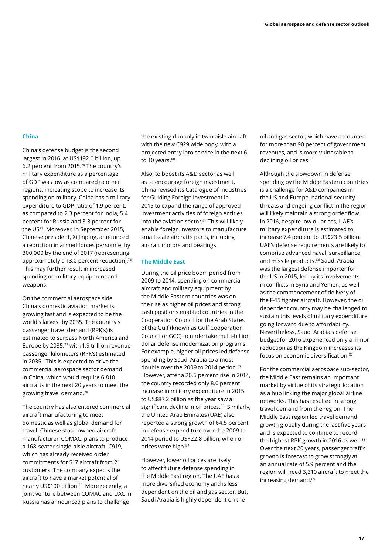### **China**

China's defense budget is the second largest in 2016, at US\$192.0 billion, up 6.2 percent from 2015.74 The country's military expenditure as a percentage of GDP was low as compared to other regions, indicating scope to increase its spending on military. China has a military expenditure to GDP ratio of 1.9 percent, as compared to 2.3 percent for India, 5.4 percent for Russia and 3.3 percent for the US75. Moreover, in September 2015, Chinese president, Xi Jinping, announced a reduction in armed forces personnel by 300,000 by the end of 2017 (representing approximately a 13.0 percent reduction).<sup>76</sup> This may further result in increased spending on military equipment and weapons.

On the commercial aerospace side, China's domestic aviation market is growing fast and is expected to be the world's largest by 2035. The country's passenger travel demand (RPK's) is estimated to surpass North America and Europe by 2035,77 with 1.9 trillion revenue passenger kilometers (RPK's) estimated in 2035. This is expected to drive the commercial aerospace sector demand in China, which would require 6,810 aircrafts in the next 20 years to meet the growing travel demand.78

The country has also entered commercial aircraft manufacturing to meet domestic as well as global demand for travel. Chinese state-owned aircraft manufacturer, COMAC, plans to produce a 168-seater single-aisle aircraft–C919, which has already received order commitments for 517 aircraft from 21 customers. The company expects the aircraft to have a market potential of nearly US\$100 billion.79 More recently, a joint venture between COMAC and UAC in Russia has announced plans to challenge

the existing duopoly in twin aisle aircraft with the new C929 wide body, with a projected entry into service in the next 6 to 10 years. $80$ 

Also, to boost its A&D sector as well as to encourage foreign investment, China revised its Catalogue of Industries for Guiding Foreign Investment in 2015 to expand the range of approved investment activities of foreign entities into the aviation sector. $81$  This will likely enable foreign investors to manufacture small scale aircrafts parts, including aircraft motors and bearings.

### **The Middle East**

During the oil price boom period from 2009 to 2014, spending on commercial aircraft and military equipment by the Middle Eastern countries was on the rise as higher oil prices and strong cash positions enabled countries in the Cooperation Council for the Arab States of the Gulf (known as Gulf Cooperation Council or GCC) to undertake multi-billion dollar defense modernization programs. For example, higher oil prices led defense spending by Saudi Arabia to almost double over the 2009 to 2014 period.<sup>82</sup> However, after a 20.5 percent rise in 2014, the country recorded only 8.0 percent increase in military expenditure in 2015 to US\$87.2 billion as the year saw a significant decline in oil prices.<sup>83</sup> Similarly, the United Arab Emirates (UAE) also reported a strong growth of 64.5 percent in defense expenditure over the 2009 to 2014 period to US\$22.8 billion, when oil prices were high.84

However, lower oil prices are likely to affect future defense spending in the Middle East region. The UAE has a more diversified economy and is less dependent on the oil and gas sector. But, Saudi Arabia is highly dependent on the

oil and gas sector, which have accounted for more than 90 percent of government revenues, and is more vulnerable to declining oil prices.<sup>85</sup>

Although the slowdown in defense spending by the Middle Eastern countries is a challenge for A&D companies in the US and Europe, national security threats and ongoing conflict in the region will likely maintain a strong order flow. In 2016, despite low oil prices, UAE's military expenditure is estimated to increase 7.4 percent to US\$23.5 billion. UAE's defense requirements are likely to comprise advanced naval, surveillance, and missile products.<sup>86</sup> Saudi Arabia was the largest defense importer for the US in 2015, led by its involvements in conflicts in Syria and Yemen, as well as the commencement of delivery of the F-15 fighter aircraft. However, the oil dependent country may be challenged to sustain this levels of military expenditure going forward due to affordability. Nevertheless, Saudi Arabia's defense budget for 2016 experienced only a minor reduction as the Kingdom increases its focus on economic diversification.87

For the commercial aerospace sub-sector, the Middle East remains an important market by virtue of its strategic location as a hub linking the major global airline networks. This has resulted in strong travel demand from the region. The Middle East region led travel demand growth globally during the last five years and is expected to continue to record the highest RPK growth in 2016 as well.<sup>88</sup> Over the next 20 years, passenger traffic growth is forecast to grow strongly at an annual rate of 5.9 percent and the region will need 3,310 aircraft to meet the increasing demand.89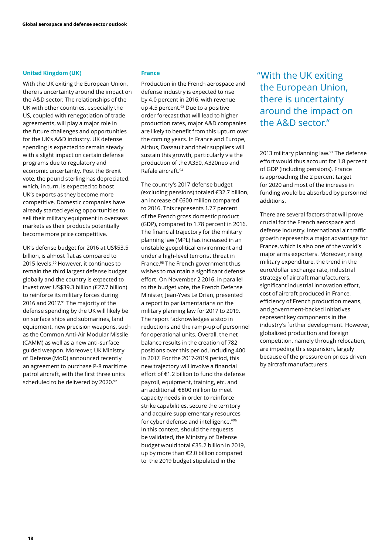### **United Kingdom (UK)**

With the UK exiting the European Union, there is uncertainty around the impact on the A&D sector. The relationships of the UK with other countries, especially the US, coupled with renegotiation of trade agreements, will play a major role in the future challenges and opportunities for the UK's A&D industry. UK defense spending is expected to remain steady with a slight impact on certain defense programs due to regulatory and economic uncertainty. Post the Brexit vote, the pound sterling has depreciated, which, in turn, is expected to boost UK's exports as they become more competitive. Domestic companies have already started eyeing opportunities to sell their military equipment in overseas markets as their products potentially become more price competitive.

UK's defense budget for 2016 at US\$53.5 billion, is almost flat as compared to 2015 levels.90 However, it continues to remain the third largest defense budget globally and the country is expected to invest over US\$39.3 billion (£27.7 billion) to reinforce its military forces during 2016 and 2017.<sup>91</sup> The majority of the defense spending by the UK will likely be on surface ships and submarines, land equipment, new precision weapons, such as the Common Anti-Air Modular Missile (CAMM) as well as a new anti-surface guided weapon. Moreover, UK Ministry of Defense (MoD) announced recently an agreement to purchase P-8 maritime patrol aircraft, with the first three units scheduled to be delivered by 2020.92

#### **France**

Production in the French aerospace and defense industry is expected to rise by 4.0 percent in 2016, with revenue up 4.5 percent. $93$  Due to a positive order forecast that will lead to higher production rates, major A&D companies are likely to benefit from this upturn over the coming years. In France and Europe, Airbus, Dassault and their suppliers will sustain this growth, particularly via the production of the A350, A320neo and Rafale aircraft.94

The country's 2017 defense budget (excluding pensions) totaled €32.7 billion, an increase of €600 million compared to 2016. This represents 1.77 percent of the French gross domestic product (GDP), compared to 1.78 percent in 2016. The financial trajectory for the military planning law (MPL) has increased in an unstable geopolitical environment and under a high-level terrorist threat in France.<sup>95</sup> The French government thus wishes to maintain a significant defense effort. On November 2 2016, in parallel to the budget vote, the French Defense Minister, Jean-Yves Le Drian, presented a report to parliamentarians on the military planning law for 2017 to 2019. The report "acknowledges a stop in reductions and the ramp-up of personnel for operational units. Overall, the net balance results in the creation of 782 positions over this period, including 400 in 2017. For the 2017-2019 period, this new trajectory will involve a financial effort of €1.2 billion to fund the defense payroll, equipment, training, etc. and an additional €800 million to meet capacity needs in order to reinforce strike capabilities, secure the territory and acquire supplementary resources for cyber defense and intelligence."96 In this context, should the requests be validated, the Ministry of Defense budget would total €35.2 billion in 2019, up by more than €2.0 billion compared to the 2019 budget stipulated in the

### "With the UK exiting the European Union, there is uncertainty around the impact on the A&D sector."

2013 military planning law.97 The defense effort would thus account for 1.8 percent of GDP (including pensions). France is approaching the 2 percent target for 2020 and most of the increase in funding would be absorbed by personnel additions.

There are several factors that will prove crucial for the French aerospace and defense industry. International air traffic growth represents a major advantage for France, which is also one of the world's major arms exporters. Moreover, rising military expenditure, the trend in the euro/dollar exchange rate, industrial strategy of aircraft manufacturers, significant industrial innovation effort, cost of aircraft produced in France, efficiency of French production means, and government-backed initiatives represent key components in the industry's further development. However, globalized production and foreign competition, namely through relocation, are impeding this expansion, largely because of the pressure on prices driven by aircraft manufacturers.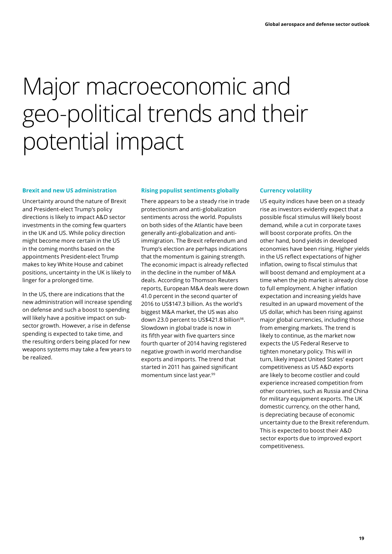# Major macroeconomic and geo-political trends and their potential impact

### **Brexit and new US administration**

Uncertainty around the nature of Brexit and President-elect Trump's policy directions is likely to impact A&D sector investments in the coming few quarters in the UK and US. While policy direction might become more certain in the US in the coming months based on the appointments President-elect Trump makes to key White House and cabinet positions, uncertainty in the UK is likely to linger for a prolonged time.

In the US, there are indications that the new administration will increase spending on defense and such a boost to spending will likely have a positive impact on subsector growth. However, a rise in defense spending is expected to take time, and the resulting orders being placed for new weapons systems may take a few years to be realized.

### **Rising populist sentiments globally**

There appears to be a steady rise in trade protectionism and anti-globalization sentiments across the world. Populists on both sides of the Atlantic have been generally anti-globalization and antiimmigration. The Brexit referendum and Trump's election are perhaps indications that the momentum is gaining strength. The economic impact is already reflected in the decline in the number of M&A deals. According to Thomson Reuters reports, European M&A deals were down 41.0 percent in the second quarter of 2016 to US\$147.3 billion. As the world's biggest M&A market, the US was also down 23.0 percent to US\$421.8 billion<sup>98</sup>. Slowdown in global trade is now in its fifth year with five quarters since fourth quarter of 2014 having registered negative growth in world merchandise exports and imports. The trend that started in 2011 has gained significant momentum since last year.<sup>99</sup>

### **Currency volatility**

US equity indices have been on a steady rise as investors evidently expect that a possible fiscal stimulus will likely boost demand, while a cut in corporate taxes will boost corporate profits. On the other hand, bond yields in developed economies have been rising. Higher yields in the US reflect expectations of higher inflation, owing to fiscal stimulus that will boost demand and employment at a time when the job market is already close to full employment. A higher inflation expectation and increasing yields have resulted in an upward movement of the US dollar, which has been rising against major global currencies, including those from emerging markets. The trend is likely to continue, as the market now expects the US Federal Reserve to tighten monetary policy. This will in turn, likely impact United States' export competitiveness as US A&D exports are likely to become costlier and could experience increased competition from other countries, such as Russia and China for military equipment exports. The UK domestic currency, on the other hand, is depreciating because of economic uncertainty due to the Brexit referendum. This is expected to boost their A&D sector exports due to improved export competitiveness.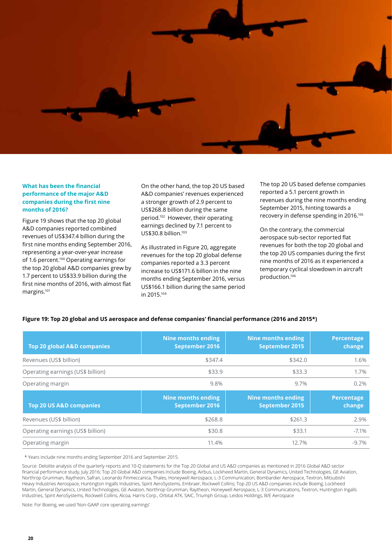

### **What has been the financial performance of the major A&D companies during the first nine months of 2016?**

Figure 19 shows that the top 20 global A&D companies reported combined revenues of US\$347.4 billion during the first nine months ending September 2016, representing a year-over-year increase of 1.6 percent.100 Operating earnings for the top 20 global A&D companies grew by 1.7 percent to US\$33.9 billion during the first nine months of 2016, with almost flat margins.101

On the other hand, the top 20 US based A&D companies' revenues experienced a stronger growth of 2.9 percent to US\$268.8 billion during the same period.102 However, their operating earnings declined by 7.1 percent to US\$30.8 billion.103

As illustrated in Figure 20, aggregate revenues for the top 20 global defense companies reported a 3.3 percent increase to US\$171.6 billion in the nine months ending September 2016, versus US\$166.1 billion during the same period in 2015.104

The top 20 US based defense companies reported a 5.1 percent growth in revenues during the nine months ending September 2015, hinting towards a recovery in defense spending in 2016.105

On the contrary, the commercial aerospace sub-sector reported flat revenues for both the top 20 global and the top 20 US companies during the first nine months of 2016 as it experienced a temporary cyclical slowdown in aircraft production.106

### **Figure 19: Top 20 global and US aerospace and defense companies' financial performance (2016 and 2015\*)**

| Top 20 global A&D companies        | <b>Nine months ending</b><br>September 2016 | <b>Nine months ending</b><br>September 2015 | Percentage<br>change |
|------------------------------------|---------------------------------------------|---------------------------------------------|----------------------|
| Revenues (US\$ billion)            | \$347.4                                     | \$342.0                                     | 1.6%                 |
| Operating earnings (US\$ billion)  | \$33.9                                      | \$33.3                                      | 1.7%                 |
| Operating margin                   | 9.8%                                        | 9.7%                                        | 0.2%                 |
|                                    |                                             |                                             |                      |
| <b>Top 20 US A&amp;D companies</b> | <b>Nine months ending</b><br>September 2016 | Nine months ending<br>September 2015        | Percentage<br>change |
| Revenues (US\$ billion)            | \$268.8                                     | \$261.3                                     | 2.9%                 |
| Operating earnings (US\$ billion)  | \$30.8                                      | \$33.1                                      | $-7.1\%$             |

\* Years include nine months ending September 2016 and September 2015.

Source: Deloitte analysis of the quarterly reports and 10-Q statements for the Top 20 Global and US A&D companies as mentioned in 2016 Global A&D sector financial performance study, July 2016; Top 20 Global A&D companies include Boeing, Airbus, Lockheed Martin, General Dynamics, United Technologies, GE Aviation, Northrop Grumman, Raytheon, Safran, Leonardo Finmeccanica, Thales, Honeywell Aerospace, L-3 Communication, Bombardier Aerospace, Textron, Mitsubishi Heavy Industries Aerospace, Huntington Ingalls Industries, Spirit AeroSystems, Embraer, Rockwell Collins; Top 20 US A&D companies include Boeing, Lockheed Martin, General Dynamics, United Technologies, GE Aviation, Northrop Grumman, Raytheon, Honeywell Aerospace, L-3 Communications, Textron, Huntington Ingalls Industries, Spirit AeroSystems, Rockwell Collins, Alcoa, Harris Corp., Orbital ATK, SAIC, Triumph Group, Leidos Holdings, B/E Aerospace

Note: For Boeing, we used 'Non-GAAP core operating earnings'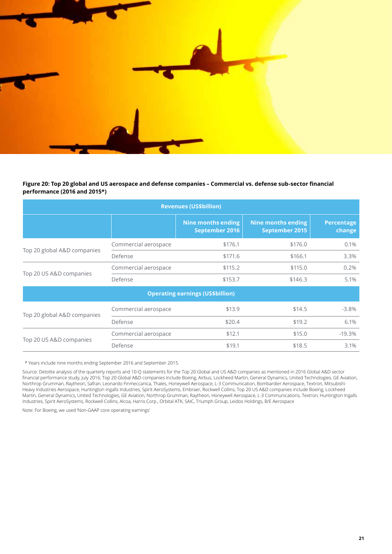

### **Figure 20: Top 20 global and US aerospace and defense companies – Commercial vs. defense sub-sector financial performance (2016 and 2015\*)**

| <b>Revenues (US\$billion)</b>           |                      |                                      |                                             |                             |  |  |  |
|-----------------------------------------|----------------------|--------------------------------------|---------------------------------------------|-----------------------------|--|--|--|
|                                         |                      | Nine months ending<br>September 2016 | <b>Nine months ending</b><br>September 2015 | <b>Percentage</b><br>change |  |  |  |
|                                         | Commercial aerospace | \$176.1                              | \$176.0                                     | 0.1%                        |  |  |  |
| Top 20 global A&D companies             | Defense              | \$171.6                              | \$166.1                                     | 3.3%                        |  |  |  |
| Top 20 US A&D companies                 | Commercial aerospace | \$115.2                              | \$115.0                                     | 0.2%                        |  |  |  |
|                                         | Defense              | \$153.7                              | \$146.3                                     | 5.1%                        |  |  |  |
| <b>Operating earnings (US\$billion)</b> |                      |                                      |                                             |                             |  |  |  |
| Top 20 global A&D companies             | Commercial aerospace | \$13.9                               | \$14.5                                      | $-3.8\%$                    |  |  |  |
|                                         | Defense              | \$20.4                               | \$19.2                                      | 6.1%                        |  |  |  |
|                                         | Commercial aerospace | \$12.1                               | \$15.0                                      | $-19.3%$                    |  |  |  |
| Top 20 US A&D companies                 | Defense              | \$19.1                               | \$18.5                                      | 3.1%                        |  |  |  |

\* Years include nine months ending September 2016 and September 2015.

Source: Deloitte analysis of the quarterly reports and 10-Q statements for the Top 20 Global and US A&D companies as mentioned in 2016 Global A&D sector financial performance study, July 2016; Top 20 Global A&D companies include Boeing, Airbus, Lockheed Martin, General Dynamics, United Technologies, GE Aviation, Northrop Grumman, Raytheon, Safran, Leonardo Finmeccanica, Thales, Honeywell Aerospace, L-3 Communication, Bombardier Aerospace, Textron, Mitsubishi Heavy Industries Aerospace, Huntington Ingalls Industries, Spirit AeroSystems, Embraer, Rockwell Collins; Top 20 US A&D companies include Boeing, Lockheed Martin, General Dynamics, United Technologies, GE Aviation, Northrop Grumman, Raytheon, Honeywell Aerospace, L-3 Communications, Textron, Huntington Ingalls Industries, Spirit AeroSystems, Rockwell Collins, Alcoa, Harris Corp., Orbital ATK, SAIC, Triumph Group, Leidos Holdings, B/E Aerospace

Note: For Boeing, we used 'Non-GAAP core operating earnings'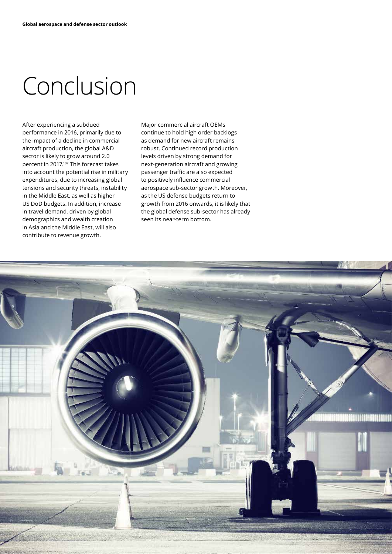# Conclusion

After experiencing a subdued performance in 2016, primarily due to the impact of a decline in commercial aircraft production, the global A&D sector is likely to grow around 2.0 percent in 2017.107 This forecast takes into account the potential rise in military expenditures, due to increasing global tensions and security threats, instability in the Middle East, as well as higher US DoD budgets. In addition, increase in travel demand, driven by global demographics and wealth creation in Asia and the Middle East, will also contribute to revenue growth.

Major commercial aircraft OEMs continue to hold high order backlogs as demand for new aircraft remains robust. Continued record production levels driven by strong demand for next-generation aircraft and growing passenger traffic are also expected to positively influence commercial aerospace sub-sector growth. Moreover, as the US defense budgets return to growth from 2016 onwards, it is likely that the global defense sub-sector has already seen its near-term bottom.

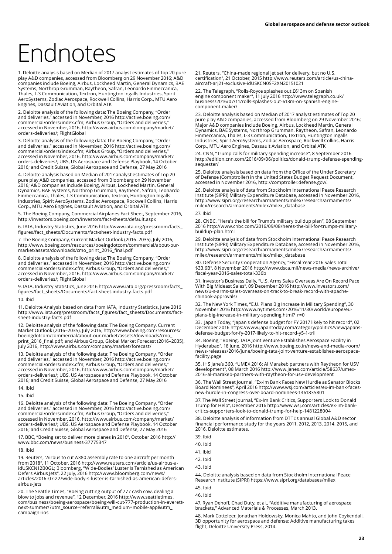## Endnotes

1. Deloitte analysis based on Median of 2017 analyst estimates of Top 20 pure play A&D companies, accessed from Bloomberg on 29 November 2016; A&D companies include Boeing, Airbus, Lockheed Martin, General Dynamics, BAE Systems, Northrop Grumman, Raytheon, Safran, Leonardo Finmeccanica, Thales, L-3 Communication, Textron, Huntington Ingalls Industries, Spirit AeroSystems, Zodiac Aerospace, Rockwell Collins, Harris Corp., MTU Aero Engines, Dassault Aviation, and Orbital ATK

2. Deloitte analysis of the following data: The Boeing Company, "Order and deliveries," accessed in November, 2016 http://active.boeing.com/ commercial/orders/index.cfm; Airbus Group, "Orders and deliveries," accessed in November, 2016, http://www.airbus.com/company/market/ orders-deliveries/; FlightGlobal

3. Deloitte analysis of the following data: The Boeing Company, "Order and deliveries," accessed in November, 2016 http://active.boeing.com/ commercial/orders/index.cfm; Airbus Group, "Orders and deliveries, accessed in November, 2016, http://www.airbus.com/company/market/ orders-deliveries/; UBS, US Aerospace and Defense Playbook, 14 October 2016; and Credit Suisse, Global Aerospace and Defense, 27 May 2016

4. Deloitte analysis based on Median of 2017 analyst estimates of Top 20 pure play A&D companies, accessed from Bloomberg on 29 November 2016; A&D companies include Boeing, Airbus, Lockheed Martin, General Dynamics, BAE Systems, Northrop Grumman, Raytheon, Safran, Leonardo Finmeccanica, Thales, L-3 Communication, Textron, Huntington Ingalls Industries, Spirit AeroSystems, Zodiac Aerospace, Rockwell Collins, Harris Corp., MTU Aero Engines, Dassault Aviation, and Orbital ATK

5. The Boeing Company, Commercial Airplanes Fact Sheet, September 2016, http://investors.boeing.com/investors/fact-sheets/default.aspx

6. IATA, Industry Statistics, June 2016 http://www.iata.org/pressroom/facts\_ figures/fact\_sheets/Documents/fact-sheet-industry-facts.pdf

7. The Boeing Company, Current Market Outlook (2016–2035), July 2016, http://www.boeing.com/resources/boeingdotcom/commercial/about-ourmarket/assets/downloads/cmo\_print\_2016\_final.pdf

8. Deloitte analysis of the following data: The Boeing Company, "Order and deliveries," accessed in November, 2016 http://active.boeing.com/ commercial/orders/index.cfm; Airbus Group, "Orders and deliveries," accessed in November, 2016, http://www.airbus.com/company/market/ orders-deliveries/; FlightGlobal

9. IATA, Industry Statistics, June 2016 http://www.iata.org/pressroom/facts\_ figures/fact\_sheets/Documents/fact-sheet-industry-facts.pdf

10. Ibid

11. Deloitte Analysis based on data from IATA, Industry Statistics, June 2016 http://www.iata.org/pressroom/facts\_figures/fact\_sheets/Documents/factsheet-industry-facts.pdf

12. Deloitte analysis of the following data: The Boeing Company, Current Market Outlook (2016–2035), July 2016, http://www.boeing.com/resources/ boeingdotcom/commercial/about-our-market/assets/downloads/cmo\_ print\_2016\_final.pdf; and Airbus Group, Global Market Forecast (2016–2035), July 2016, http://www.airbus.com/company/market/forecast/

13. Deloitte analysis of the following data: The Boeing Company, "Order and deliveries," accessed in November, 2016 http://active.boeing.com/ commercial/orders/index.cfm; Airbus Group, "Orders and deliveries," accessed in November, 2016, http://www.airbus.com/company/market/ orders-deliveries/; UBS, US Aerospace and Defense Playbook, 14 October 2016; and Credit Suisse, Global Aerospace and Defense, 27 May 2016

14. Ibid

15. Ibid

16. Deloitte analysis of the following data: The Boeing Company, "Order and deliveries," accessed in November, 2016 http://active.boeing.com/ commercial/orders/index.cfm; Airbus Group, "Orders and deliveries," accessed in November, 2016, http://www.airbus.com/company/market/ orders-deliveries/; UBS, US Aerospace and Defense Playbook, 14 October 2016; and Credit Suisse, Global Aerospace and Defense, 27 May 2016

17. BBC, "Boeing set to deliver more planes in 2016", October 2016 http:// www.bbc.com/news/business-37775347

18. Ibid

19. Reuters, "Airbus to cut A380 assembly rate to one aircraft per month from 2018", 11 October, 2016 http://www.reuters.com/article/us-airbus-aidUSKCN12B0GL; Bloomberg, "Wide-Bodies' Luster Is Tarnished as American Defers Airbus Jets", 22 July, 2016 http://www.bloomberg.com/news/ articles/2016-07-22/wide-body-s-luster-is-tarnished-as-american-defersairbus-jets

20. The Seattle Times, "Boeing cutting output of 777 cash cow, dealing a blow to jobs and revenue", 12 December, 2016 http://www.seattletimes. com/business/boeing-aerospace/boeing-will-cut-777-production-in-everettnext-summer/?utm\_source=referral&utm\_medium=mobile-app&utm\_ campaign=ios

21. Reuters, "China-made regional jet set for delivery, but no U.S. certification", 21 October, 2015 http://www.reuters.com/article/us-chinaaircraft-arj21-exclusive-idUSKCN0SF2XN20151021

22. The Telegraph, "Rolls-Royce splashes out £613m on Spanish engine component maker", 11 July 2016 http://www.telegraph.co.uk/ business/2016/07/11/rolls-splashes-out-613m-on-spanish-enginecomponent-maker/

23. Deloitte analysis based on Median of 2017 analyst estimates of Top 20 pure play A&D companies, accessed from Bloomberg on 29 November 2016; Major A&D companies include Boeing, Airbus, Lockheed Martin, General Dynamics, BAE Systems, Northrop Grumman, Raytheon, Safran, Leonardo Finmeccanica, Thales, L-3 Communication, Textron, Huntington Ingalls Industries, Spirit AeroSystems, Zodiac Aerospace, Rockwell Collins, Harris Corp., MTU Aero Engines, Dassault Aviation, and Orbital ATK

24. CNN, "Trump calls for military spending increase", 8 September 2016 http://edition.cnn.com/2016/09/06/politics/donald-trump-defense-spendingsequester/

25. Deloitte analysis based on data from the Office of the Under Secretary of Defense (Comptroller) in the United States Budget Request Document, accessed in November 2016, http://comptroller.defense.gov/.

26. Deloitte analysis of data from Stockholm International Peace Research Institute (SIPRI) Military Expenditure Database, accessed in November 2016, http://www.sipri.org/research/armaments/milex/research/armaments/ milex/research/armaments/milex/milex\_database

#### 27. Ibid

28. CNBC, "Here's the bill for Trump's military buildup plan", 08 September 2016 http://www.cnbc.com/2016/09/08/heres-the-bill-for-trumps-militarybuildup-plan.html

29. Deloitte analysis of data from Stockholm International Peace Research Institute (SIPRI) Military Expenditure Database, accessed in November 2016, http://www.sipri.org/research/armaments/milex/research/armaments/ milex/research/armaments/milex/milex\_database

30. Defense Security Cooperation Agency, "Fiscal Year 2016 Sales Total \$33.6B", 8 November 2016 http://www.dsca.mil/news-media/news-archive/ fiscal-year-2016-sales-total-336b

31. Investor's Business Daily, "U.S. Arms Sales Overseas Are On Record Pace With Big Mideast Sales", 09 December 2016 http://www.investors.com/ news/u-s-arms-sales-overseas-on-track-to-break-record-with-apachechinook-approvals/

32. The New York Times, "E.U. Plans Big Increase in Military Spending", 30 November 2016 http://www.nytimes.com/2016/11/30/world/europe/euplans-big-increase-in-military-spending.html?\_r=0

33. Japan Today, "Japan's defense budget for FY 2017 likely to hit record", 02 December 2016 https://www.japantoday.com/category/politics/view/japansdefense-budget-for-fy-2017-likely-to-hit-record-y5-1-tril

34. Boeing, "Boeing, TATA Joint Venture Establishes Aerospace Facility in Hyderabad", 18 June, 2016 http://www.boeing.co.in/news-and-media-room/ news-releases/2016/june/boeing-tata-joint-venture-establishes-aerospacefacility.page

35. IHS Jane's 360, "UMEX 2016: Al Marakeb partners with Raytheon for USV development", 08 March 2016 http://www.janes.com/article/58637/umex-2016-al-marakeb-partners-with-raytheon-for-usv-development

36. The Wall Street Journal, "Ex-Im Bank Faces New Hurdle as Senator Blocks Board Nominees", April 2016 http://www.wsj.com/articles/ex-im-bank-facesnew-hurdle-in-congress-over-board-nominees-1461835801

37. The Wall Street Journal, "Ex-Im Bank Critics, Supporters Look to Donald Trump for Help", December 2016 http://www.wsj.com/articles/ex-im-bankcritics-supporters-look-to-donald-trump-for-help-1481228004

38. Deloitte analysis of information from DTTL's annual Global A&D sector financial performance study for the years 2011, 2012, 2013, 2014, 2015, and 2016, Deloitte estimates.

39. Ibid

40. Ibid

41. Ibid

42. Ibid

43. Ibid

44. Deloitte analysis based on data from Stockholm International Peace Research Institute (SIPRI) https://www.sipri.org/databases/milex

45. Ibid

46. Ibid

47. Ryan Dehoff, Chad Duty, et al., "Additive manufacturing of aerospace brackets," Advanced Materials & Processes, March 2013.

48. Mark Cotteleer, Jonathan Holdowsky, Monica Mahto, and John Coykendall, 3D opportunity for aerospace and defense: Additive manufacturing takes flight, Deloitte University Press, 2014.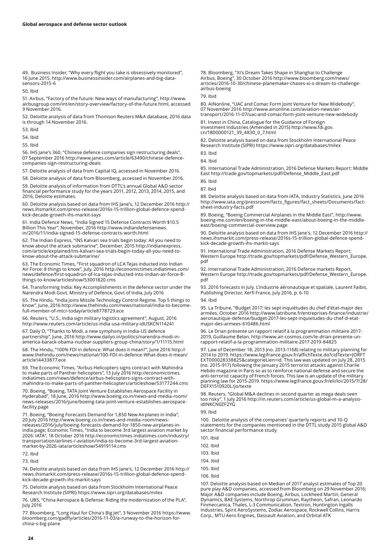49. Business Insider, "Why every flight you take is obsessively monitored", 16 June 2015, http://www.businessinsider.com/airplanes-and-big-datasensors-2015-6

50. Ibid

51. Airbus, "Factory of the future: New ways of manufacturing", http://www. airbusgroup.com/int/en/story-overview/factory-of-the-future.html, accessed 9 November 2016.

52. Deloitte analysis of data from Thomson Reuters M&A database, 2016 data is through 14 November 2016.

53. Ibid

54. Ibid

55. Ibid

56. IHS Jane's 360, "Chinese defence companies sign restructuring deals", 07 September 2016 http://www.janes.com/article/63490/chinese-defencecompanies-sign-restructuring-deals

57. Deloitte analysis of data from Capital IQ, accessed in November 2016.

58. Deloitte analysis of data from Bloomberg, accessed in November 2016.

59. Deloitte analysis of information from DTTL's annual Global A&D sector financial performance study for the years 2011, 2012, 2013, 2014, 2015, and 2016, Deloitte estimates.

60. Deloitte analysis based on data from IHS Jane's, 12 December 2016 http:// news.ihsmarkit.com/press-release/2016s-15-trillion-global-defence-spendkick-decade-growth-ihs-markit-says

61. India Defence News, "India Signed 15 Defense Contracts Worth \$10.5 Billion This Year", November, 2016 http://www.indiandefensenews. in/2016/11/india-signed-15-defense-contracts-worth.html

62. The Indian Express, "INS Kalvari sea trials begin today: All you need to know about the attack submarine", December, 2015 http://indianexpress. com/article/explained/ins-kalvari-sea-trials-begin-today-all-you-need-toknow-about-the-attack-submarine/

63. The Economic Times, "First squadron of LCA Tejas inducted into Indian Air Force: 8 things to know", July, 2016 http://economictimes.indiatimes.com/ news/defence/first-squadron-of-lca-tejas-inducted-into-indian-air-force-8 things-to-know/articleshow/53001820.cms

64. Transforming India: Key Accomplishments in the defence sector under the Narendra Modi Govt, Ministry of Defence, Govt of India, July 2016

65. The Hindu, "India joins Missile Technology Control Regime. Top 5 things to know", June, 2016 http://www.thehindu.com/news/national/india-to-becomefull-member-of-mtcr-today/article8778729.ece

66. Reuters, "U.S., India sign military logistics agreement", August, 2016 http://www.reuters.com/article/us-india-usa-military-idUSKCN114241

67. Daily O, "Thanks to Modi, a new symphony in India-US defence partnership", June, 2016 http://www.dailyo.in/politics/narendra-modi-inamerica-barack-obama-nuclear-suppliers-group-china/story/1/11115.html

68. The Hindu, "100% FDI in defence: What does it mean?", June 2016 http:// www.thehindu.com/news/national/100-FDI-in-defence-What-does-it-mean/ article14433877.ece

69. The Economic Times, "Airbus Helicopters signs contract with Mahindra to make parts of Panther helicopters", 13 July 2016 http://economictimes. indiatimes.com/news/defence/airbus-helicopters-signs-contract-withmahindra-to-make-parts-of-panther-helicopters/articleshow/53177244.cms

70. Boeing, "Boeing, TATA Joint Venture Establishes Aerospace Facility in Hyderabad", 18 June, 2016 http://www.boeing.co.in/news-and-media-room/ news-releases/2016/june/boeing-tata-joint-venture-establishes-aerospacefacility.page

71. Boeing, "Boeing Forecasts Demand for 1,850 New Airplanes in India", 20 July 2016 http://www.boeing.co.in/news-and-media-room/newsreleases/2016/july/boeing-forecasts-demand-for-1850-new-airplanes-inindia.page; Economic Times, "India to become 3rd largest aviation market by 2026: IATA", 18 October 2016 http://economictimes.indiatimes.com/industry/ transportation/airlines-/-aviation/india-to-become-3rd-largest-aviationmarket-by-2026-iata/articleshow/54919114.cms

72. Ibid

73. Ibid

74. Deloitte analysis based on data from IHS Jane's, 12 December 2016 http:// news.ihsmarkit.com/press-release/2016s-15-trillion-global-defence-spendkick-decade-growth-ihs-markit-says

75. Deloitte analysis based on data from Stockholm International Peace Research Institute (SIPRI) https://www.sipri.org/databases/milex

76. UBS, "China Aerospace & Defense: Riding the modernization of the PLA", July 2016

77. Bloomberg, "Long Haul for China's Big Jet", 3 November 2016 https://www. bloomberg.com/gadfly/articles/2016-11-03/a-runway-to-the-horizon-forchina-s-big-plane

78. Bloomberg, "Xi's Dream Takes Shape in Shanghai to Challenge Airbus, Boeing", 30 October 2016 http://www.bloomberg.com/news/ articles/2016-10-30/chinese-planemaker-chases-xi-s-dream-to-challengeairbus-boeing

79. Ibid

80. AINonline, "UAC and Comac Form Joint Venture for New Widebody", 07 November 2016 http://www.ainonline.com/aviation-news/airtransport/2016-11-07/uac-and-comac-form-joint-venture-new-widebody

81. Invest in China, Catalogue for the Guidance of Foreign Investment Industries (Amended in 2015) http://www.fdi.gov. cn/1800000121\_39\_4830\_0\_7.html

82. Deloitte analysis based on data from Stockholm International Peace Research Institute (SIPRI) https://www.sipri.org/databases/milex

83. Ibid

84. Ibid

85. International Trade Administration, 2016 Defense Markets Report: Middle East http://trade.gov/topmarkets/pdf/Defense\_Middle\_East.pdf 86. Ibid

#### 87. Ibid

88. Deloitte analysis based on data from IATA, Industry Statistics, June 2016 http://www.iata.org/pressroom/facts\_figures/fact\_sheets/Documents/factsheet-industry-facts.pdf

89. Boeing, "Boeing Commercial Airplanes in the Middle East", http://www. boeing-me.com/en/boeing-in-the-middle-east/about-boeing-in-the-middleeast/boeing-commercial-overview.page

90. Deloitte analysis based on data from IHS Jane's, 12 December 2016 http:// news.ihsmarkit.com/press-release/2016s-15-trillion-global-defence-spendkick-decade-growth-ihs-markit-says

91. International Trade Administration, 2016 Defense Markets Report: Western Europe http://trade.gov/topmarkets/pdf/Defense\_Western\_Europe. pdf

92. International Trade Administration, 2016 Defense markets Report, Western Europe http://trade.gov/topmarkets/pdf/Defense\_Western\_Europe. pdf

93. 2016 forecasts in July. L'industrie aéronautique et spatiale, Laurent Faibis, Publishing Director, Xerfi France, July 2016, p. 6-10

94. Ibid

95. La Tribune, "Budget 2017: les sept inquiétudes du chef d'état-major des armées, October 2016 http://www.latribune.fr/entreprises-finance/industrie/ aeronautique-defense/budget-2017-les-sept-inquietudes-du-chef-d-etatmajor-des-armees-610486.html

96. Le Drian présente un rapport relatif à la programmation militaire 2017- 2019, Guillaume Belan, http://www.air-cosmos.com/le-drian-presente-unrapport-relatif-a-la-programmation-militaire-2017-2019-84825

97. Law of December 18, 2013 (no. 2013-1168) relating to military planning for 2014 to 2019. https://www.legifrance.gouv.fr/affichTexte.do?cidTexte=JORFT EXT000028338825&categorieLien=id. This law was updated on July 28, 2015 (no. 2015-917) following the January 2015 terrorist attacks against Charlie Hebdo magazine in Paris so as to reinforce national defense and secure the anti-terrorist capacity of French forces. This law is an update of the military planning law for 2015-2019. https://www.legifrance.gouv.fr/eli/loi/2015/7/28/ DEFX1510920L/jo/texte

98. Reuters, "Global M&A declines in second quarter as mega deals seen too risky", 1 July 2016 http://in.reuters.com/article/us-global-m-a-analysisidINKCN0ZF2YG

#### 99. Ibid

100. Deloitte analysis of the companies' quarterly reports and 10-Q statements for the companies mentioned in the DTTL study 2015 global A&D sector financial performance study

101. Ibid

102. Ibid

- 103. Ibid
- 104. Ibid

105. Ibid

106. Ibid

107. Deloitte analysis based on Median of 2017 analyst estimates of Top 20 pure play A&D companies, accessed from Bloomberg on 29 November 2016; Major A&D companies include Boeing, Airbus, Lockheed Martin, General Dynamics, BAE Systems, Northrop Grumman, Raytheon, Safran, Leonardo Finmeccanica, Thales, L-3 Communication, Textron, Huntington Ingalls Industries, Spirit AeroSystems, Zodiac Aerospace, Rockwell Collins, Harris Corp., MTU Aero Engines, Dassault Aviation, and Orbital ATK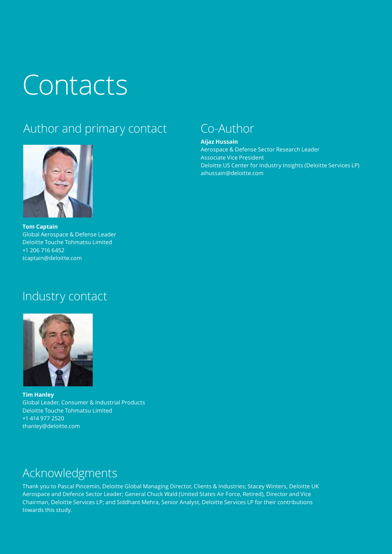# **Contacts**

## Author and primary contact Co-Author



**Tom Captain** Global Aerospace & Defense Leader Deloitte Touche Tohmatsu Limited +1 206 716 6452 tcaptain@deloitte.com

## Industry contact



**Tim Hanley** Global Leader, Consumer & Industrial Products Deloitte Touche Tohmatsu Limited +1 414 977 2520 thanley@deloitte.com

## Acknowledgments

Thank you to Pascal Pincemin, Deloitte Global Managing Director, Clients & Industries; Stacey Winters, Deloitte UK Aerospace and Defence Sector Leader; General Chuck Wald (United States Air Force, Retired), Director and Vice Chairman, Deloitte Services LP; and Siddhant Mehra, Senior Analyst, Deloitte Services LP for their contributions towards this study.



**Aijaz Hussain** Aerospace & Defense Sector Research Leader Associate Vice President Deloitte US Center for Industry Insights (Deloitte Services LP) aihussain@deloitte.com